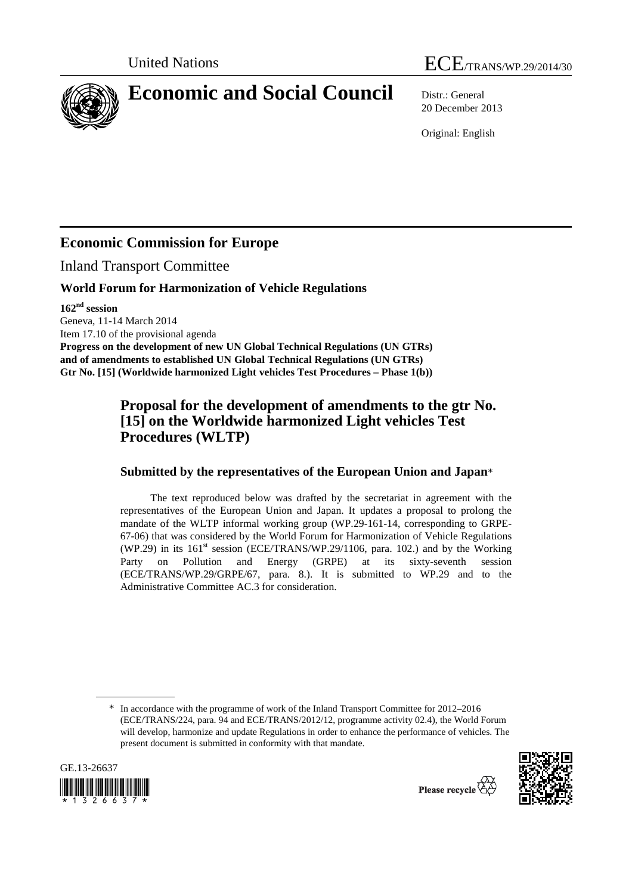

20 December 2013

Original: English

# **Economic Commission for Europe**

Inland Transport Committee

#### **World Forum for Harmonization of Vehicle Regulations**

**162nd session** 

Geneva, 11-14 March 2014

Item 17.10 of the provisional agenda

**Progress on the development of new UN Global Technical Regulations (UN GTRs) and of amendments to established UN Global Technical Regulations (UN GTRs) Gtr No. [15] (Worldwide harmonized Light vehicles Test Procedures – Phase 1(b))** 

# **Proposal for the development of amendments to the gtr No. [15] on the Worldwide harmonized Light vehicles Test Procedures (WLTP)**

# **Submitted by the representatives of the European Union and Japan**\*

The text reproduced below was drafted by the secretariat in agreement with the representatives of the European Union and Japan. It updates a proposal to prolong the mandate of the WLTP informal working group (WP.29-161-14, corresponding to GRPE-67-06) that was considered by the World Forum for Harmonization of Vehicle Regulations (WP.29) in its  $161<sup>st</sup>$  session (ECE/TRANS/WP.29/1106, para. 102.) and by the Working Party on Pollution and Energy (GRPE) at its sixty-seventh session (ECE/TRANS/WP.29/GRPE/67, para. 8.). It is submitted to WP.29 and to the Administrative Committee AC.3 for consideration.

<sup>\*</sup> In accordance with the programme of work of the Inland Transport Committee for 2012–2016 (ECE/TRANS/224, para. 94 and ECE/TRANS/2012/12, programme activity 02.4), the World Forum will develop, harmonize and update Regulations in order to enhance the performance of vehicles. The present document is submitted in conformity with that mandate.



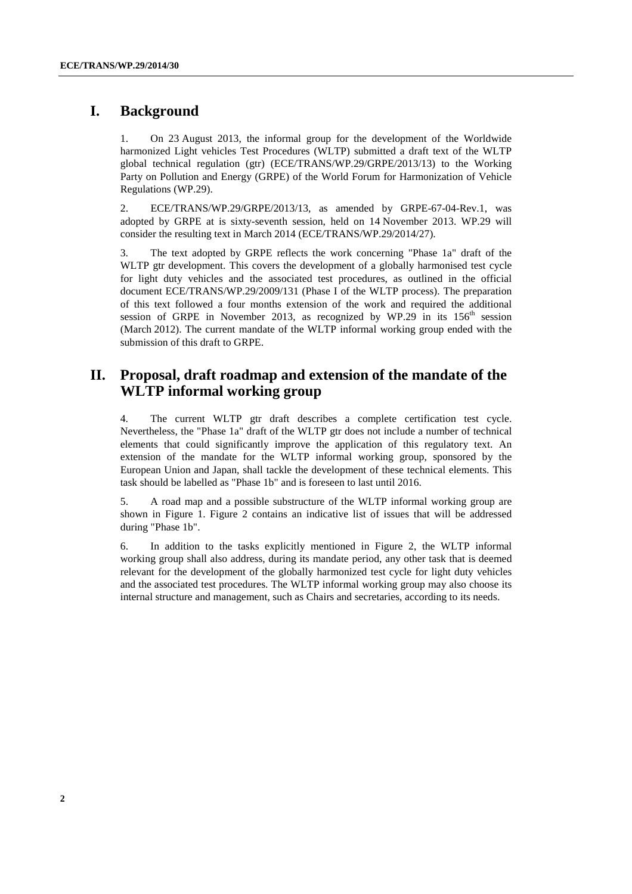## **I. Background**

1. On 23 August 2013, the informal group for the development of the Worldwide harmonized Light vehicles Test Procedures (WLTP) submitted a draft text of the WLTP global technical regulation (gtr) (ECE/TRANS/WP.29/GRPE/2013/13) to the Working Party on Pollution and Energy (GRPE) of the World Forum for Harmonization of Vehicle Regulations (WP.29).

2. ECE/TRANS/WP.29/GRPE/2013/13, as amended by GRPE-67-04-Rev.1, was adopted by GRPE at is sixty-seventh session, held on 14 November 2013. WP.29 will consider the resulting text in March 2014 (ECE/TRANS/WP.29/2014/27).

3. The text adopted by GRPE reflects the work concerning "Phase 1a" draft of the WLTP gtr development. This covers the development of a globally harmonised test cycle for light duty vehicles and the associated test procedures, as outlined in the official document ECE/TRANS/WP.29/2009/131 (Phase I of the WLTP process). The preparation of this text followed a four months extension of the work and required the additional session of GRPE in November 2013, as recognized by WP.29 in its  $156<sup>th</sup>$  session (March 2012). The current mandate of the WLTP informal working group ended with the submission of this draft to GRPE.

## **II. Proposal, draft roadmap and extension of the mandate of the WLTP informal working group**

4. The current WLTP gtr draft describes a complete certification test cycle. Nevertheless, the "Phase 1a" draft of the WLTP gtr does not include a number of technical elements that could significantly improve the application of this regulatory text. An extension of the mandate for the WLTP informal working group, sponsored by the European Union and Japan, shall tackle the development of these technical elements. This task should be labelled as "Phase 1b" and is foreseen to last until 2016.

5. A road map and a possible substructure of the WLTP informal working group are shown in Figure 1. Figure 2 contains an indicative list of issues that will be addressed during "Phase 1b".

6. In addition to the tasks explicitly mentioned in Figure 2, the WLTP informal working group shall also address, during its mandate period, any other task that is deemed relevant for the development of the globally harmonized test cycle for light duty vehicles and the associated test procedures. The WLTP informal working group may also choose its internal structure and management, such as Chairs and secretaries, according to its needs.